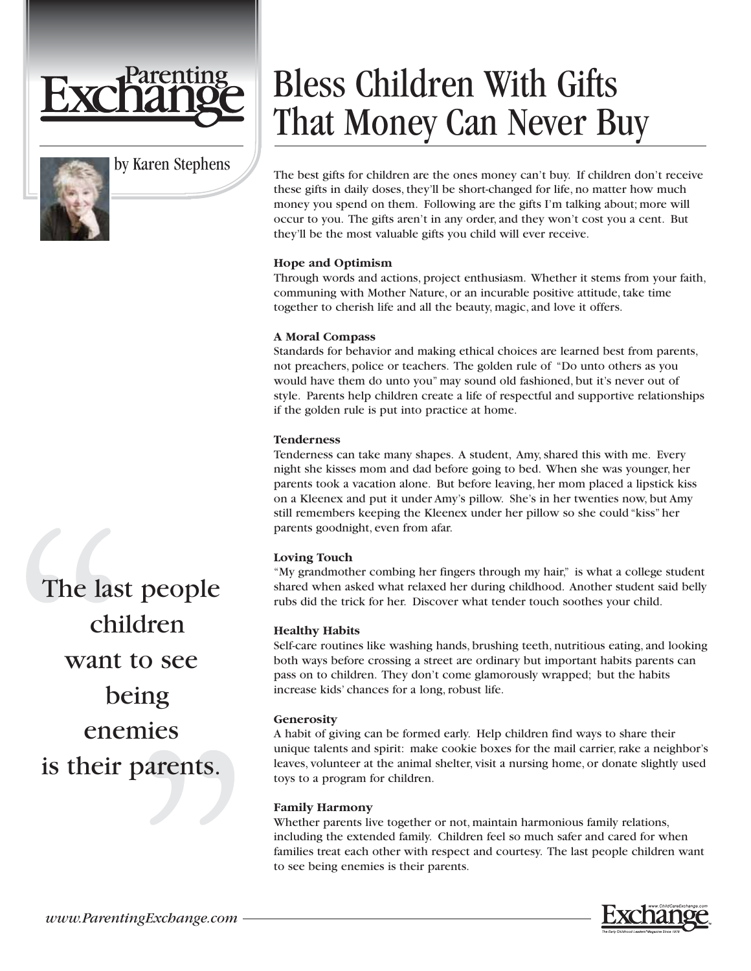

by Karen Stephens



# Bless Children With Gifts That Money Can Never Buy

The best gifts for children are the ones money can't buy. If children don't receive these gifts in daily doses, they'll be short-changed for life, no matter how much money you spend on them. Following are the gifts I'm talking about; more will occur to you. The gifts aren't in any order, and they won't cost you a cent. But they'll be the most valuable gifts you child will ever receive.

# **Hope and Optimism**

Through words and actions, project enthusiasm. Whether it stems from your faith, communing with Mother Nature, or an incurable positive attitude, take time together to cherish life and all the beauty, magic, and love it offers.

## **A Moral Compass**

Standards for behavior and making ethical choices are learned best from parents, not preachers, police or teachers. The golden rule of "Do unto others as you would have them do unto you" may sound old fashioned, but it's never out of style. Parents help children create a life of respectful and supportive relationships if the golden rule is put into practice at home.

## **Tenderness**

Tenderness can take many shapes. A student, Amy, shared this with me. Every night she kisses mom and dad before going to bed. When she was younger, her parents took a vacation alone. But before leaving, her mom placed a lipstick kiss on a Kleenex and put it under Amy's pillow. She's in her twenties now, but Amy still remembers keeping the Kleenex under her pillow so she could "kiss" her parents goodnight, even from afar.

# **Loving Touch**

"My grandmother combing her fingers through my hair," is what a college student shared when asked what relaxed her during childhood. Another student said belly rubs did the trick for her. Discover what tender touch soothes your child.

# **Healthy Habits**

Self-care routines like washing hands, brushing teeth, nutritious eating, and looking both ways before crossing a street are ordinary but important habits parents can pass on to children. They don't come glamorously wrapped; but the habits increase kids' chances for a long, robust life.

## **Generosity**

A habit of giving can be formed early. Help children find ways to share their unique talents and spirit: make cookie boxes for the mail carrier, rake a neighbor's leaves, volunteer at the animal shelter, visit a nursing home, or donate slightly used toys to a program for children.

## **Family Harmony**

Whether parents live together or not, maintain harmonious family relations, including the extended family. Children feel so much safer and cared for when families treat each other with respect and courtesy. The last people children want to see being enemies is their parents.